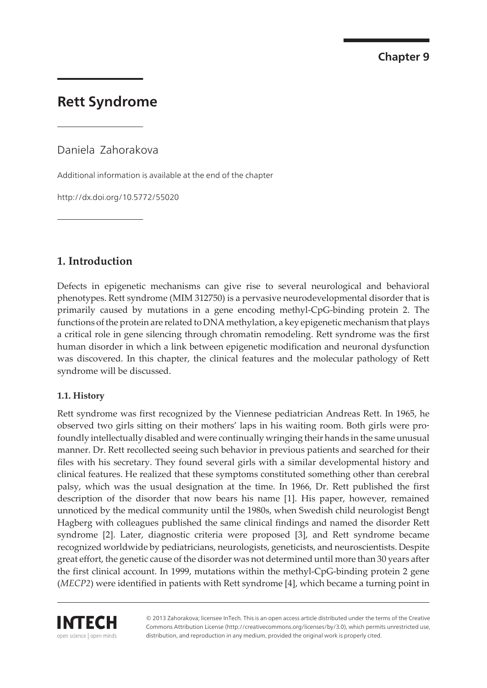**Chapter 9**

# **Rett Syndrome**

Daniela Zahorakova

Additional information is available at the end of the chapter

http://dx.doi.org/10.5772/55020

# **1. Introduction**

Defects in epigenetic mechanisms can give rise to several neurological and behavioral phenotypes. Rett syndrome (MIM 312750) is a pervasive neurodevelopmental disorder that is primarily caused by mutations in a gene encoding methyl-CpG-binding protein 2. The functions of the protein are related to DNA methylation, a key epigenetic mechanism that plays a critical role in gene silencing through chromatin remodeling. Rett syndrome was the first human disorder in which a link between epigenetic modification and neuronal dysfunction was discovered. In this chapter, the clinical features and the molecular pathology of Rett syndrome will be discussed.

### **1.1. History**

Rett syndrome was first recognized by the Viennese pediatrician Andreas Rett. In 1965, he observed two girls sitting on their mothers' laps in his waiting room. Both girls were pro‐ foundly intellectually disabled and were continually wringing their hands in the same unusual manner. Dr. Rett recollected seeing such behavior in previous patients and searched for their files with his secretary. They found several girls with a similar developmental history and clinical features. He realized that these symptoms constituted something other than cerebral palsy, which was the usual designation at the time. In 1966, Dr. Rett published the first description of the disorder that now bears his name [\[1\]](#page-13-0). His paper, however, remained unnoticed by the medical community until the 1980s, when Swedish child neurologist Bengt Hagberg with colleagues published the same clinical findings and named the disorder Rett syndrome [[2](#page-13-0)]. Later, diagnostic criteria were proposed [\[3\]](#page-13-0), and Rett syndrome became recognized worldwide by pediatricians, neurologists, geneticists, and neuroscientists. Despite great effort, the genetic cause of the disorder was not determined until more than 30 years after the first clinical account. In 1999, mutations within the methyl-CpG-binding protein 2 gene (*MECP2*) were identified in patients with Rett syndrome [[4](#page-13-0)], which became a turning point in



© 2013 Zahorakova; licensee InTech. This is an open access article distributed under the terms of the Creative Commons Attribution License (http://creativecommons.org/licenses/by/3.0), which permits unrestricted use, distribution, and reproduction in any medium, provided the original work is properly cited.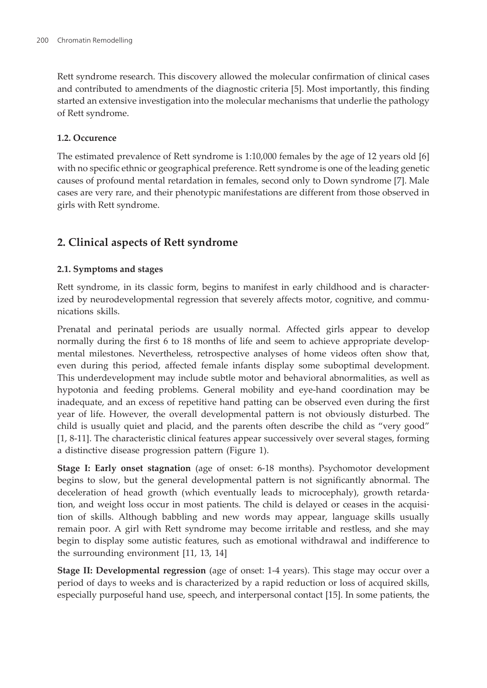Rett syndrome research. This discovery allowed the molecular confirmation of clinical cases and contributed to amendments of the diagnostic criteria [\[5\]](#page-13-0). Most importantly, this finding started an extensive investigation into the molecular mechanisms that underlie the pathology of Rett syndrome.

#### **1.2. Occurence**

The estimated prevalence of Rett syndrome is 1:10,000 females by the age of 12 years old [[6](#page-13-0)] with no specific ethnic or geographical preference. Rett syndrome is one of the leading genetic causes of profound mental retardation in females, second only to Down syndrome [\[7](#page-13-0)]. Male cases are very rare, and their phenotypic manifestations are different from those observed in girls with Rett syndrome.

## **2. Clinical aspects of Rett syndrome**

### **2.1. Symptoms and stages**

Rett syndrome, in its classic form, begins to manifest in early childhood and is characterized by neurodevelopmental regression that severely affects motor, cognitive, and communications skills.

Prenatal and perinatal periods are usually normal. Affected girls appear to develop normally during the first 6 to 18 months of life and seem to achieve appropriate developmental milestones. Nevertheless, retrospective analyses of home videos often show that, even during this period, affected female infants display some suboptimal development. This underdevelopment may include subtle motor and behavioral abnormalities, as well as hypotonia and feeding problems. General mobility and eye-hand coordination may be inadequate, and an excess of repetitive hand patting can be observed even during the first year of life. However, the overall developmental pattern is not obviously disturbed. The child is usually quiet and placid, and the parents often describe the child as "very good" [[1](#page-13-0), [8](#page-13-0)[-11](#page-14-0)]. The characteristic clinical features appear successively over several stages, forming a distinctive disease progression pattern (Figure 1).

**Stage I: Early onset stagnation** (age of onset: 6-18 months). Psychomotor development begins to slow, but the general developmental pattern is not significantly abnormal. The deceleration of head growth (which eventually leads to microcephaly), growth retarda‐ tion, and weight loss occur in most patients. The child is delayed or ceases in the acquisition of skills. Although babbling and new words may appear, language skills usually remain poor. A girl with Rett syndrome may become irritable and restless, and she may begin to display some autistic features, such as emotional withdrawal and indifference to the surrounding environment [[11,](#page-14-0) [13](#page-14-0), [14\]](#page-14-0)

**Stage II: Developmental regression** (age of onset: 1-4 years). This stage may occur over a period of days to weeks and is characterized by a rapid reduction or loss of acquired skills, especially purposeful hand use, speech, and interpersonal contact [\[15](#page-14-0)]. In some patients, the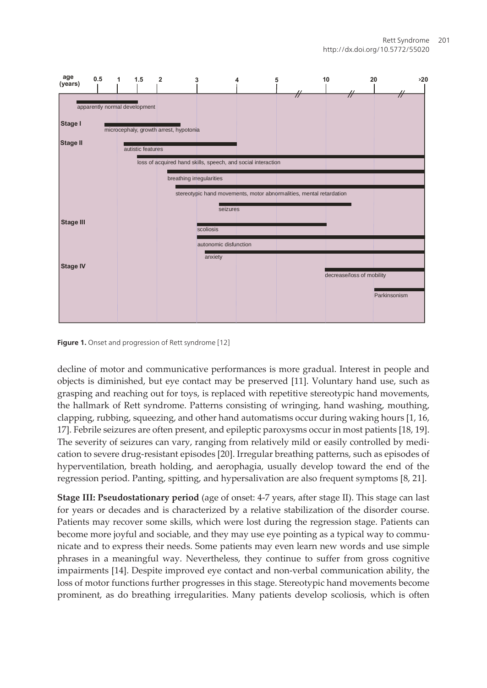

**Figure 1.** Onset and progression of Rett syndrome [\[12](#page-14-0)]

decline of motor and communicative performances is more gradual. Interest in people and objects is diminished, but eye contact may be preserved [\[11](#page-14-0)]. Voluntary hand use, such as grasping and reaching out for toys, is replaced with repetitive stereotypic hand movements, the hallmark of Rett syndrome. Patterns consisting of wringing, hand washing, mouthing, clapping, rubbing, squeezing, and other hand automatisms occur during waking hours [\[1,](#page-13-0) [16,](#page-14-0) [17\]](#page-14-0). Febrile seizures are often present, and epileptic paroxysms occur in most patients [[18, 19\]](#page-14-0). The severity of seizures can vary, ranging from relatively mild or easily controlled by medi‐ cation to severe drug-resistant episodes [\[20](#page-14-0)]. Irregular breathing patterns, such as episodes of hyperventilation, breath holding, and aerophagia, usually develop toward the end of the regression period. Panting, spitting, and hypersalivation are also frequent symptoms [\[8,](#page-13-0) [21](#page-14-0)].

**Stage III: Pseudostationary period** (age of onset: 4-7 years, after stage II). This stage can last for years or decades and is characterized by a relative stabilization of the disorder course. Patients may recover some skills, which were lost during the regression stage. Patients can become more joyful and sociable, and they may use eye pointing as a typical way to communicate and to express their needs. Some patients may even learn new words and use simple phrases in a meaningful way. Nevertheless, they continue to suffer from gross cognitive impairments [\[14](#page-14-0)]. Despite improved eye contact and non-verbal communication ability, the loss of motor functions further progresses in this stage. Stereotypic hand movements become prominent, as do breathing irregularities. Many patients develop scoliosis, which is often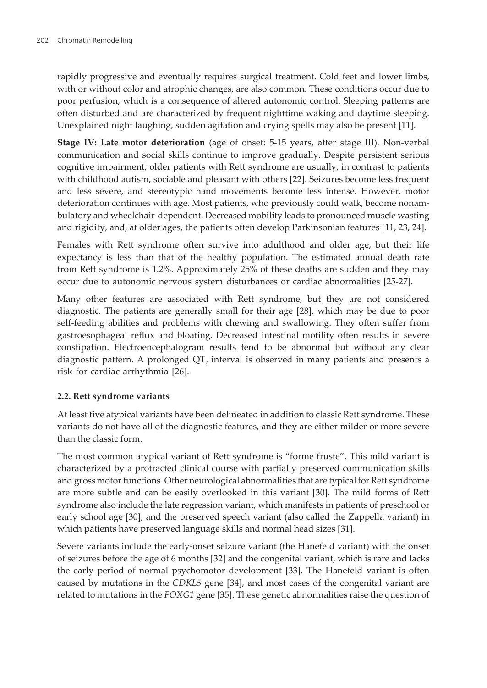rapidly progressive and eventually requires surgical treatment. Cold feet and lower limbs, with or without color and atrophic changes, are also common. These conditions occur due to poor perfusion, which is a consequence of altered autonomic control. Sleeping patterns are often disturbed and are characterized by frequent nighttime waking and daytime sleeping. Unexplained night laughing, sudden agitation and crying spells may also be present [\[11](#page-14-0)].

**Stage IV: Late motor deterioration** (age of onset: 5-15 years, after stage III). Non-verbal communication and social skills continue to improve gradually. Despite persistent serious cognitive impairment, older patients with Rett syndrome are usually, in contrast to patients with childhood autism, sociable and pleasant with others [[22\]](#page-14-0). Seizures become less frequent and less severe, and stereotypic hand movements become less intense. However, motor deterioration continues with age. Most patients, who previously could walk, become nonambulatory and wheelchair-dependent. Decreased mobility leads to pronounced muscle wasting and rigidity, and, at older ages, the patients often develop Parkinsonian features [\[11](#page-14-0), [23, 24](#page-14-0)].

Females with Rett syndrome often survive into adulthood and older age, but their life expectancy is less than that of the healthy population. The estimated annual death rate from Rett syndrome is 1.2%. Approximately 25% of these deaths are sudden and they may occur due to autonomic nervous system disturbances or cardiac abnormalities [[25-27\]](#page-15-0).

Many other features are associated with Rett syndrome, but they are not considered diagnostic. The patients are generally small for their age [[28\]](#page-15-0), which may be due to poor self-feeding abilities and problems with chewing and swallowing. They often suffer from gastroesophageal reflux and bloating. Decreased intestinal motility often results in severe constipation. Electroencephalogram results tend to be abnormal but without any clear diagnostic pattern. A prolonged QT $_{\rm c}$  interval is observed in many patients and presents a risk for cardiac arrhythmia [\[26](#page-15-0)].

### **2.2. Rett syndrome variants**

At least five atypical variants have been delineated in addition to classic Rett syndrome. These variants do not have all of the diagnostic features, and they are either milder or more severe than the classic form.

The most common atypical variant of Rett syndrome is "forme fruste". This mild variant is characterized by a protracted clinical course with partially preserved communication skills and gross motor functions. Other neurological abnormalities that are typical for Rett syndrome are more subtle and can be easily overlooked in this variant [\[30](#page-15-0)]. The mild forms of Rett syndrome also include the late regression variant, which manifests in patients of preschool or early school age [\[30](#page-15-0)], and the preserved speech variant (also called the Zappella variant) in which patients have preserved language skills and normal head sizes [\[31](#page-15-0)].

Severe variants include the early-onset seizure variant (the Hanefeld variant) with the onset of seizures before the age of 6 months [\[32](#page-15-0)] and the congenital variant, which is rare and lacks the early period of normal psychomotor development [[33\]](#page-15-0). The Hanefeld variant is often caused by mutations in the *CDKL5* gene [[34\]](#page-15-0), and most cases of the congenital variant are related to mutations in the *FOXG1* gene [[35\]](#page-15-0). These genetic abnormalities raise the question of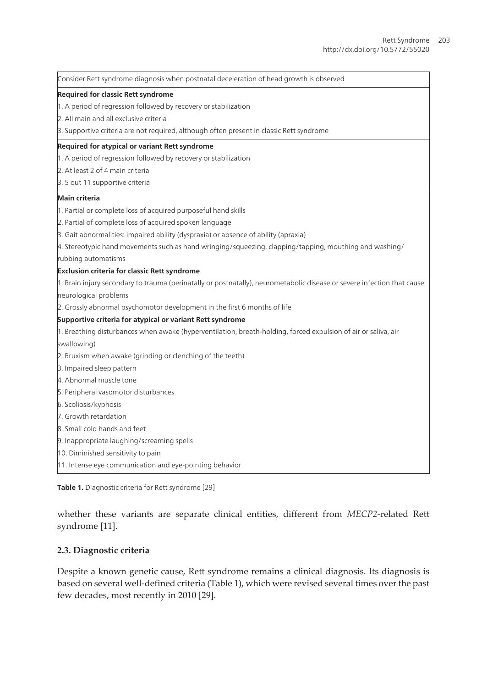| Consider Rett syndrome diagnosis when postnatal deceleration of head growth is observed                                 |
|-------------------------------------------------------------------------------------------------------------------------|
| Required for classic Rett syndrome                                                                                      |
| 1. A period of regression followed by recovery or stabilization                                                         |
| 2. All main and all exclusive criteria                                                                                  |
| 3. Supportive criteria are not required, although often present in classic Rett syndrome                                |
| Required for atypical or variant Rett syndrome                                                                          |
| 1. A period of regression followed by recovery or stabilization                                                         |
| 2. At least 2 of 4 main criteria                                                                                        |
| 3.5 out 11 supportive criteria                                                                                          |
| Main criteria                                                                                                           |
| 1. Partial or complete loss of acquired purposeful hand skills                                                          |
| 2. Partial of complete loss of acquired spoken language                                                                 |
| 3. Gait abnormalities: impaired ability (dyspraxia) or absence of ability (apraxia)                                     |
| 4. Stereotypic hand movements such as hand wringing/squeezing, clapping/tapping, mouthing and washing/                  |
| rubbing automatisms                                                                                                     |
| Exclusion criteria for classic Rett syndrome                                                                            |
| 1. Brain injury secondary to trauma (perinatally or postnatally), neurometabolic disease or severe infection that cause |
| neurological problems                                                                                                   |
| 2. Grossly abnormal psychomotor development in the first 6 months of life                                               |
| Supportive criteria for atypical or variant Rett syndrome                                                               |
| 1. Breathing disturbances when awake (hyperventilation, breath-holding, forced expulsion of air or saliva, air          |
| swallowing)                                                                                                             |
| 2. Bruxism when awake (grinding or clenching of the teeth)                                                              |
| 3. Impaired sleep pattern                                                                                               |
| 4. Abnormal muscle tone                                                                                                 |
| 5. Peripheral vasomotor disturbances                                                                                    |
| 6. Scoliosis/kyphosis                                                                                                   |
| 7. Growth retardation                                                                                                   |
| 8. Small cold hands and feet                                                                                            |
| 9. Inappropriate laughing/screaming spells                                                                              |
| 10. Diminished sensitivity to pain                                                                                      |
| 11. Intense eye communication and eye-pointing behavior                                                                 |

**Table 1.** Diagnostic criteria for Rett syndrome [[29\]](#page-15-0)

whether these variants are separate clinical entities, different from *MECP2*-related Rett syndrome [\[11](#page-14-0)].

#### **2.3. Diagnostic criteria**

Despite a known genetic cause, Rett syndrome remains a clinical diagnosis. Its diagnosis is based on several well-defined criteria (Table 1), which were revised several times over the past few decades, most recently in 2010 [[29\]](#page-15-0).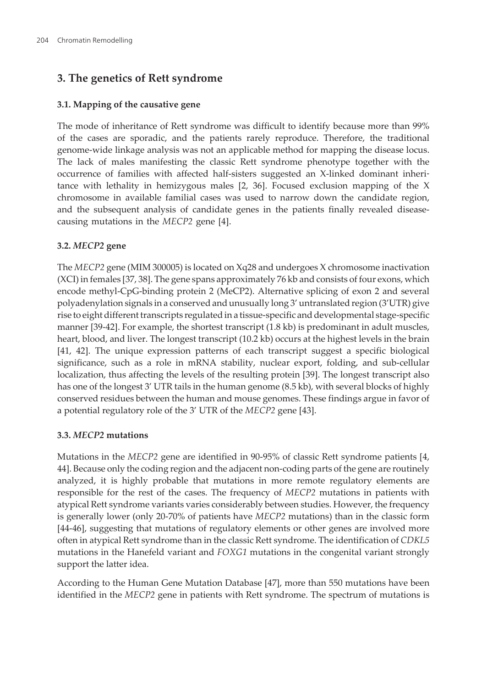# **3. The genetics of Rett syndrome**

#### **3.1. Mapping of the causative gene**

The mode of inheritance of Rett syndrome was difficult to identify because more than 99% of the cases are sporadic, and the patients rarely reproduce. Therefore, the traditional genome-wide linkage analysis was not an applicable method for mapping the disease locus. The lack of males manifesting the classic Rett syndrome phenotype together with the occurrence of families with affected half-sisters suggested an X-linked dominant inheri‐ tance with lethality in hemizygous males [\[2,](#page-13-0) [36](#page-15-0)]. Focused exclusion mapping of the X chromosome in available familial cases was used to narrow down the candidate region, and the subsequent analysis of candidate genes in the patients finally revealed diseasecausing mutations in the *MECP2* gene [\[4\]](#page-13-0).

### **3.2.** *MECP2* **gene**

The *MECP2* gene (MIM 300005) is located on Xq28 and undergoes X chromosome inactivation (XCI) in females [\[37](#page-15-0), [38](#page-15-0)]. The gene spans approximately 76 kb and consists of four exons, which encode methyl-CpG-binding protein 2 (MeCP2). Alternative splicing of exon 2 and several polyadenylation signals in a conserved and unusually long 3' untranslated region (3'UTR) give rise to eight different transcripts regulated in a tissue-specific and developmental stage-specific manner [[39-42\]](#page-16-0). For example, the shortest transcript (1.8 kb) is predominant in adult muscles, heart, blood, and liver. The longest transcript (10.2 kb) occurs at the highest levels in the brain [[41,](#page-16-0) [42](#page-16-0)]. The unique expression patterns of each transcript suggest a specific biological significance, such as a role in mRNA stability, nuclear export, folding, and sub-cellular localization, thus affecting the levels of the resulting protein [[39\]](#page-16-0). The longest transcript also has one of the longest 3' UTR tails in the human genome (8.5 kb), with several blocks of highly conserved residues between the human and mouse genomes. These findings argue in favor of a potential regulatory role of the 3' UTR of the *MECP2* gene [\[43](#page-16-0)].

### **3.3.** *MECP2* **mutations**

Mutations in the *MECP2* gene are identified in 90-95% of classic Rett syndrome patients [\[4,](#page-13-0) [44\]](#page-16-0). Because only the coding region and the adjacent non-coding parts of the gene are routinely analyzed, it is highly probable that mutations in more remote regulatory elements are responsible for the rest of the cases. The frequency of *MECP2* mutations in patients with atypical Rett syndrome variants varies considerably between studies. However, the frequency is generally lower (only 20-70% of patients have *MECP2* mutations) than in the classic form [[44-46\]](#page-16-0), suggesting that mutations of regulatory elements or other genes are involved more often in atypical Rett syndrome than in the classic Rett syndrome. The identification of *CDKL5* mutations in the Hanefeld variant and *FOXG1* mutations in the congenital variant strongly support the latter idea.

According to the Human Gene Mutation Database [[47\]](#page-16-0), more than 550 mutations have been identified in the *MECP2* gene in patients with Rett syndrome. The spectrum of mutations is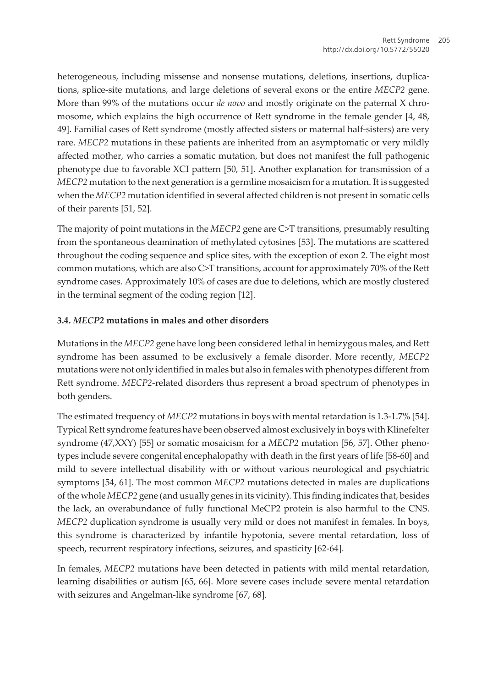heterogeneous, including missense and nonsense mutations, deletions, insertions, duplications, splice-site mutations, and large deletions of several exons or the entire *MECP2* gene. More than 99% of the mutations occur *de novo* and mostly originate on the paternal X chromosome, which explains the high occurrence of Rett syndrome in the female gender [\[4,](#page-13-0) [48,](#page-16-0) [49\]](#page-16-0). Familial cases of Rett syndrome (mostly affected sisters or maternal half-sisters) are very rare. *MECP2* mutations in these patients are inherited from an asymptomatic or very mildly affected mother, who carries a somatic mutation, but does not manifest the full pathogenic phenotype due to favorable XCI pattern [[50,](#page-16-0) [51\]](#page-17-0). Another explanation for transmission of a *MECP2* mutation to the next generation is a germline mosaicism for a mutation. It is suggested when the *MECP2* mutation identified in several affected children is not present in somatic cells of their parents [[51, 52](#page-17-0)].

The majority of point mutations in the *MECP2* gene are C>T transitions, presumably resulting from the spontaneous deamination of methylated cytosines [\[53](#page-17-0)]. The mutations are scattered throughout the coding sequence and splice sites, with the exception of exon 2. The eight most common mutations, which are also C>T transitions, account for approximately 70% of the Rett syndrome cases. Approximately 10% of cases are due to deletions, which are mostly clustered in the terminal segment of the coding region [[12\]](#page-14-0).

### **3.4.** *MECP2* **mutations in males and other disorders**

Mutations in the *MECP2* gene have long been considered lethal in hemizygous males, and Rett syndrome has been assumed to be exclusively a female disorder. More recently, *MECP2* mutations were not only identified in males but also in females with phenotypes different from Rett syndrome. *MECP2*-related disorders thus represent a broad spectrum of phenotypes in both genders.

The estimated frequency of *MECP2* mutations in boys with mental retardation is 1.3-1.7% [[54\]](#page-17-0). Typical Rett syndrome features have been observed almost exclusively in boys with Klinefelter syndrome (47,XXY) [[55\]](#page-17-0) or somatic mosaicism for a *MECP2* mutation [[56, 57](#page-17-0)]. Other phenotypes include severe congenital encephalopathy with death in the first years of life [\[58-60](#page-17-0)] and mild to severe intellectual disability with or without various neurological and psychiatric symptoms [\[54](#page-17-0), [61\]](#page-17-0). The most common *MECP2* mutations detected in males are duplications of the whole *MECP2* gene (and usually genes in its vicinity). This finding indicates that, besides the lack, an overabundance of fully functional MeCP2 protein is also harmful to the CNS. *MECP2* duplication syndrome is usually very mild or does not manifest in females. In boys, this syndrome is characterized by infantile hypotonia, severe mental retardation, loss of speech, recurrent respiratory infections, seizures, and spasticity [\[62-64](#page-17-0)].

In females, *MECP2* mutations have been detected in patients with mild mental retardation, learning disabilities or autism [[65,](#page-18-0) [66\]](#page-18-0). More severe cases include severe mental retardation with seizures and Angelman-like syndrome [[67, 68](#page-18-0)].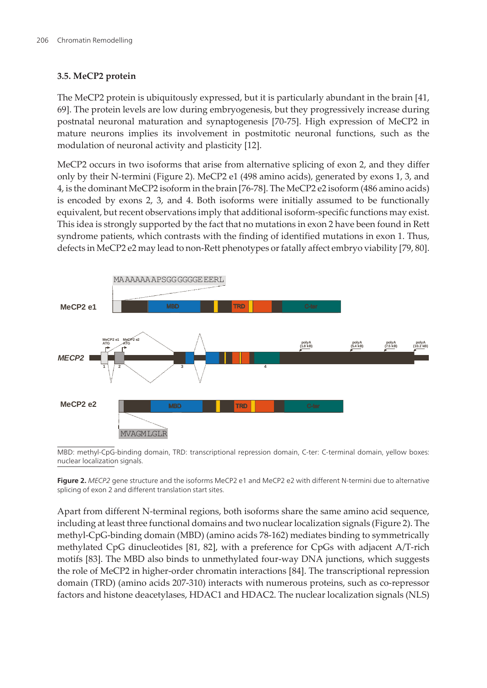### **3.5. MeCP2 protein**

The MeCP2 protein is ubiquitously expressed, but it is particularly abundant in the brain [[41,](#page-16-0) [69\]](#page-18-0). The protein levels are low during embryogenesis, but they progressively increase during postnatal neuronal maturation and synaptogenesis [\[70-75](#page-18-0)]. High expression of MeCP2 in mature neurons implies its involvement in postmitotic neuronal functions, such as the modulation of neuronal activity and plasticity [[12\]](#page-14-0).

MeCP2 occurs in two isoforms that arise from alternative splicing of exon 2, and they differ only by their N-termini (Figure 2). MeCP2 e1 (498 amino acids), generated by exons 1, 3, and 4, is the dominant MeCP2 isoform in the brain [\[76](#page-18-0)[-78](#page-19-0)]. The MeCP2 e2 isoform (486 amino acids) is encoded by exons 2, 3, and 4. Both isoforms were initially assumed to be functionally equivalent, but recent observations imply that additional isoform-specific functions may exist. This idea is strongly supported by the fact that no mutations in exon 2 have been found in Rett syndrome patients, which contrasts with the finding of identified mutations in exon 1. Thus, defects in MeCP2 e2 may lead to non-Rett phenotypes or fatally affect embryo viability [\[79](#page-19-0), [80\]](#page-19-0).



MBD: methyl-CpG-binding domain, TRD: transcriptional repression domain, C-ter: C-terminal domain, yellow boxes: nuclear localization signals.

**Figure 2.** MECP2 gene structure and the isoforms MeCP2 e1 and MeCP2 e2 with different N-termini due to alternative splicing of exon 2 and different translation start sites.

Apart from different N-terminal regions, both isoforms share the same amino acid sequence, including at least three functional domains and two nuclear localization signals (Figure 2). The methyl-CpG-binding domain (MBD) (amino acids 78-162) mediates binding to symmetrically methylated CpG dinucleotides [\[81](#page-19-0), [82](#page-19-0)], with a preference for CpGs with adjacent A/T-rich motifs [[83\]](#page-19-0). The MBD also binds to unmethylated four-way DNA junctions, which suggests the role of MeCP2 in higher-order chromatin interactions [[84](#page-19-0)]. The transcriptional repression domain (TRD) (amino acids 207-310) interacts with numerous proteins, such as co-repressor factors and histone deacetylases, HDAC1 and HDAC2. The nuclear localization signals (NLS)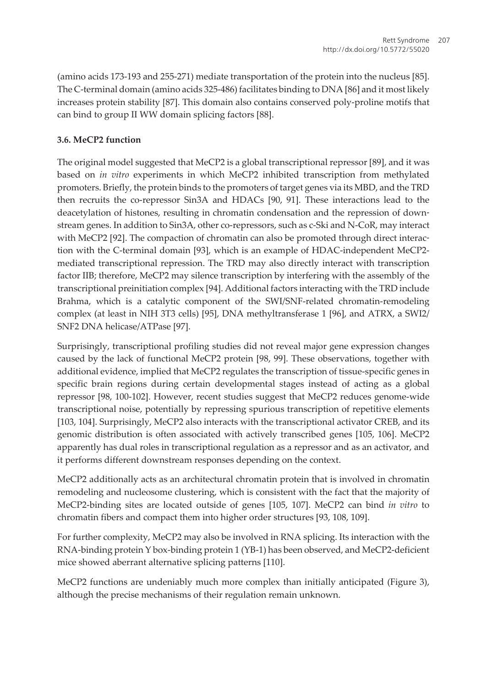(amino acids 173-193 and 255-271) mediate transportation of the protein into the nucleus [[85\]](#page-19-0). The C-terminal domain (amino acids 325-486) facilitates binding to DNA [\[86](#page-19-0)] and it most likely increases protein stability [[87\]](#page-19-0). This domain also contains conserved poly-proline motifs that can bind to group II WW domain splicing factors [[88\]](#page-19-0).

### **3.6. MeCP2 function**

The original model suggested that MeCP2 is a global transcriptional repressor [[89\]](#page-19-0), and it was based on *in vitro* experiments in which MeCP2 inhibited transcription from methylated promoters. Briefly, the protein binds to the promoters of target genes via its MBD, and the TRD then recruits the co-repressor Sin3A and HDACs [\[90](#page-20-0), [91\]](#page-20-0). These interactions lead to the deacetylation of histones, resulting in chromatin condensation and the repression of downstream genes. In addition to Sin3A, other co-repressors, such as c-Ski and N-CoR, may interact with MeCP2 [[92\]](#page-20-0). The compaction of chromatin can also be promoted through direct interaction with the C-terminal domain [[93\]](#page-20-0), which is an example of HDAC-independent MeCP2 mediated transcriptional repression. The TRD may also directly interact with transcription factor IIB; therefore, MeCP2 may silence transcription by interfering with the assembly of the transcriptional preinitiation complex [[94\]](#page-20-0). Additional factors interacting with the TRD include Brahma, which is a catalytic component of the SWI/SNF-related chromatin-remodeling complex (at least in NIH 3T3 cells) [[95\]](#page-20-0), DNA methyltransferase 1 [[96\]](#page-20-0), and ATRX, a SWI2/ SNF2 DNA helicase/ATPase [\[97](#page-20-0)].

Surprisingly, transcriptional profiling studies did not reveal major gene expression changes caused by the lack of functional MeCP2 protein [[98,](#page-20-0) [99](#page-20-0)]. These observations, together with additional evidence, implied that MeCP2 regulates the transcription of tissue-specific genes in specific brain regions during certain developmental stages instead of acting as a global repressor [[98,](#page-20-0) [100](#page-20-0)[-102\]](#page-21-0). However, recent studies suggest that MeCP2 reduces genome-wide transcriptional noise, potentially by repressing spurious transcription of repetitive elements [[103](#page-21-0), [104](#page-21-0)]. Surprisingly, MeCP2 also interacts with the transcriptional activator CREB, and its genomic distribution is often associated with actively transcribed genes [\[105,](#page-21-0) [106\]](#page-21-0). MeCP2 apparently has dual roles in transcriptional regulation as a repressor and as an activator, and it performs different downstream responses depending on the context.

MeCP2 additionally acts as an architectural chromatin protein that is involved in chromatin remodeling and nucleosome clustering, which is consistent with the fact that the majority of MeCP2-binding sites are located outside of genes [\[105,](#page-21-0) [107](#page-21-0)]. MeCP2 can bind *in vitro* to chromatin fibers and compact them into higher order structures [[93,](#page-20-0) [108, 109\]](#page-21-0).

For further complexity, MeCP2 may also be involved in RNA splicing. Its interaction with the RNA-binding protein Y box-binding protein 1 (YB-1) has been observed, and MeCP2-deficient mice showed aberrant alternative splicing patterns [[110](#page-21-0)].

MeCP2 functions are undeniably much more complex than initially anticipated [\(Figure 3\)](#page-9-0), although the precise mechanisms of their regulation remain unknown.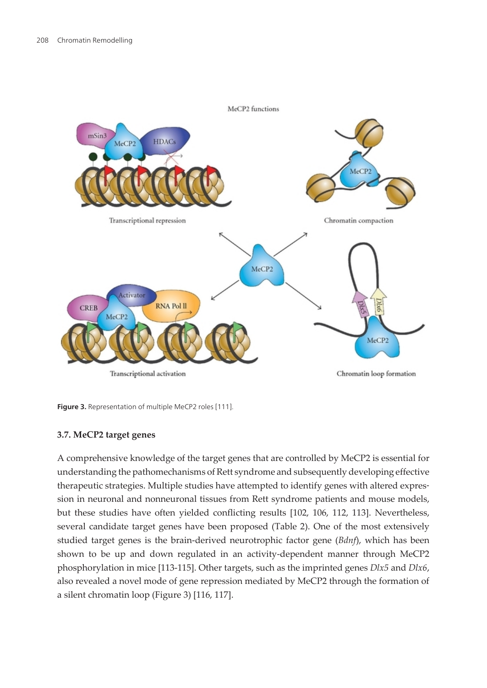<span id="page-9-0"></span>

**Figure 3.** Representation of multiple MeCP2 roles [\[111](#page-21-0)].

#### **3.7. MeCP2 target genes**

A comprehensive knowledge of the target genes that are controlled by MeCP2 is essential for understanding the pathomechanisms of Rett syndrome and subsequently developing effective therapeutic strategies. Multiple studies have attempted to identify genes with altered expres‐ sion in neuronal and nonneuronal tissues from Rett syndrome patients and mouse models, but these studies have often yielded conflicting results [\[102,](#page-21-0) [106](#page-21-0), [112,](#page-21-0) [113](#page-22-0)]. Nevertheless, several candidate target genes have been proposed (Table 2). One of the most extensively studied target genes is the brain-derived neurotrophic factor gene (*Bdnf*), which has been shown to be up and down regulated in an activity-dependent manner through MeCP2 phosphorylation in mice [\[113-115](#page-22-0)]. Other targets, such as the imprinted genes *Dlx5* and *Dlx6*, also revealed a novel mode of gene repression mediated by MeCP2 through the formation of a silent chromatin loop (Figure 3) [\[116, 117\]](#page-22-0).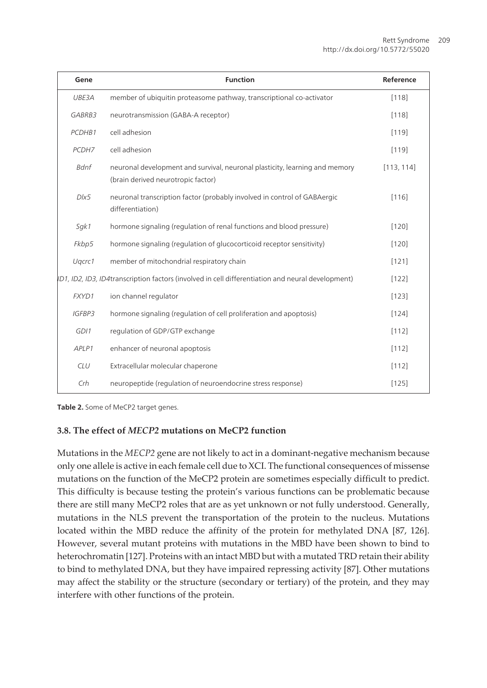| Gene                                                                                               | <b>Function</b>                                                                                                   | Reference  |
|----------------------------------------------------------------------------------------------------|-------------------------------------------------------------------------------------------------------------------|------------|
| UBE3A                                                                                              | member of ubiquitin proteasome pathway, transcriptional co-activator                                              | [118]      |
| GABRB3                                                                                             | neurotransmission (GABA-A receptor)                                                                               | [118]      |
| PCDHB1                                                                                             | cell adhesion                                                                                                     | $[119]$    |
| PCDH7                                                                                              | cell adhesion                                                                                                     | $[119]$    |
| Bdnf                                                                                               | neuronal development and survival, neuronal plasticity, learning and memory<br>(brain derived neurotropic factor) | [113, 114] |
| D/x5                                                                                               | neuronal transcription factor (probably involved in control of GABAergic<br>differentiation)                      | [116]      |
| Sgk1                                                                                               | hormone signaling (regulation of renal functions and blood pressure)                                              | [120]      |
| Fkbp5                                                                                              | hormone signaling (regulation of glucocorticoid receptor sensitivity)                                             | [120]      |
| Ugcrc1                                                                                             | member of mitochondrial respiratory chain                                                                         | [121]      |
| (D1, ID2, ID3, ID4 transcription factors (involved in cell differentiation and neural development) |                                                                                                                   | [122]      |
| FXYD1                                                                                              | ion channel regulator                                                                                             | [123]      |
| <b>IGFBP3</b>                                                                                      | hormone signaling (regulation of cell proliferation and apoptosis)                                                | [124]      |
| GDI1                                                                                               | regulation of GDP/GTP exchange                                                                                    | [112]      |
| APLP1                                                                                              | enhancer of neuronal apoptosis                                                                                    | [112]      |
| <b>CLU</b>                                                                                         | Extracellular molecular chaperone                                                                                 | [112]      |
| Crh                                                                                                | neuropeptide (regulation of neuroendocrine stress response)                                                       | [125]      |

**Table 2.** Some of MeCP2 target genes.

### **3.8. The effect of** *MECP2* **mutations on MeCP2 function**

Mutations in the *MECP2* gene are not likely to act in a dominant-negative mechanism because only one allele is active in each female cell due to XCI. The functional consequences of missense mutations on the function of the MeCP2 protein are sometimes especially difficult to predict. This difficulty is because testing the protein's various functions can be problematic because there are still many MeCP2 roles that are as yet unknown or not fully understood. Generally, mutations in the NLS prevent the transportation of the protein to the nucleus. Mutations located within the MBD reduce the affinity of the protein for methylated DNA [[87,](#page-19-0) [126\]](#page-23-0). However, several mutant proteins with mutations in the MBD have been shown to bind to heterochromatin [\[127\]](#page-23-0). Proteins with an intact MBD but with a mutated TRD retain their ability to bind to methylated DNA, but they have impaired repressing activity [\[87](#page-19-0)]. Other mutations may affect the stability or the structure (secondary or tertiary) of the protein, and they may interfere with other functions of the protein.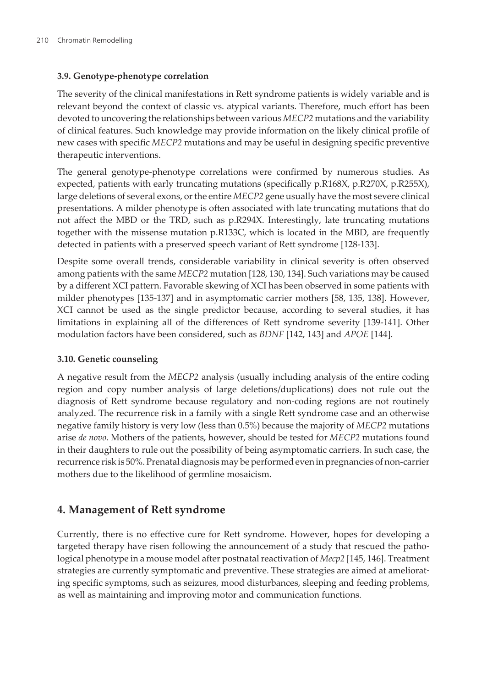#### **3.9. Genotype-phenotype correlation**

The severity of the clinical manifestations in Rett syndrome patients is widely variable and is relevant beyond the context of classic vs. atypical variants. Therefore, much effort has been devoted to uncovering the relationships between various *MECP2* mutations and the variability of clinical features. Such knowledge may provide information on the likely clinical profile of new cases with specific *MECP2* mutations and may be useful in designing specific preventive therapeutic interventions.

The general genotype-phenotype correlations were confirmed by numerous studies. As expected, patients with early truncating mutations (specifically p.R168X, p.R270X, p.R255X), large deletions of several exons, or the entire *MECP2* gene usually have the most severe clinical presentations. A milder phenotype is often associated with late truncating mutations that do not affect the MBD or the TRD, such as p.R294X. Interestingly, late truncating mutations together with the missense mutation p.R133C, which is located in the MBD, are frequently detected in patients with a preserved speech variant of Rett syndrome [\[128-133](#page-23-0)].

Despite some overall trends, considerable variability in clinical severity is often observed among patients with the same *MECP2* mutation [\[128, 130](#page-23-0), [134\]](#page-23-0). Such variations may be caused by a different XCI pattern. Favorable skewing of XCI has been observed in some patients with milder phenotypes [[135](#page-23-0)[-137\]](#page-24-0) and in asymptomatic carrier mothers [\[58](#page-17-0), [135,](#page-23-0) [138\]](#page-24-0). However, XCI cannot be used as the single predictor because, according to several studies, it has limitations in explaining all of the differences of Rett syndrome severity [\[139-141](#page-24-0)]. Other modulation factors have been considered, such as *BDNF* [\[142, 143\]](#page-24-0) and *APOE* [\[144\]](#page-24-0).

#### **3.10. Genetic counseling**

A negative result from the *MECP2* analysis (usually including analysis of the entire coding region and copy number analysis of large deletions/duplications) does not rule out the diagnosis of Rett syndrome because regulatory and non-coding regions are not routinely analyzed. The recurrence risk in a family with a single Rett syndrome case and an otherwise negative family history is very low (less than 0.5%) because the majority of *MECP2* mutations arise *de novo*. Mothers of the patients, however, should be tested for *MECP2* mutations found in their daughters to rule out the possibility of being asymptomatic carriers. In such case, the recurrence risk is 50%. Prenatal diagnosis may be performed even in pregnancies of non-carrier mothers due to the likelihood of germline mosaicism.

### **4. Management of Rett syndrome**

Currently, there is no effective cure for Rett syndrome. However, hopes for developing a targeted therapy have risen following the announcement of a study that rescued the pathological phenotype in a mouse model after postnatal reactivation of *Mecp2* [\[145, 146](#page-24-0)]. Treatment strategies are currently symptomatic and preventive. These strategies are aimed at ameliorating specific symptoms, such as seizures, mood disturbances, sleeping and feeding problems, as well as maintaining and improving motor and communication functions.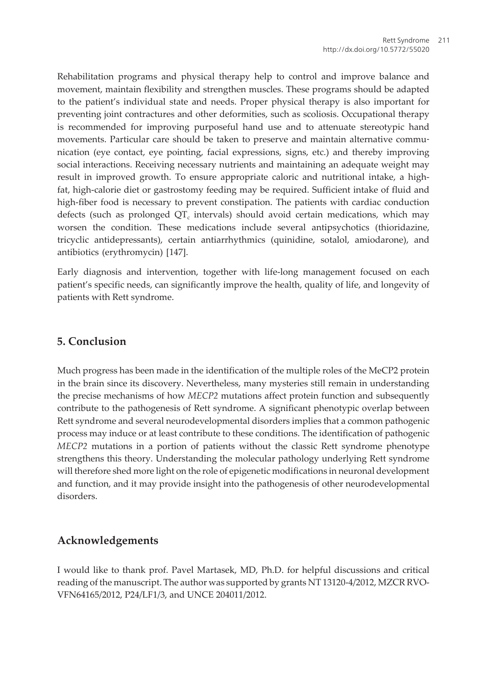Rehabilitation programs and physical therapy help to control and improve balance and movement, maintain flexibility and strengthen muscles. These programs should be adapted to the patient's individual state and needs. Proper physical therapy is also important for preventing joint contractures and other deformities, such as scoliosis. Occupational therapy is recommended for improving purposeful hand use and to attenuate stereotypic hand movements. Particular care should be taken to preserve and maintain alternative communication (eye contact, eye pointing, facial expressions, signs, etc.) and thereby improving social interactions. Receiving necessary nutrients and maintaining an adequate weight may result in improved growth. To ensure appropriate caloric and nutritional intake, a highfat, high-calorie diet or gastrostomy feeding may be required. Sufficient intake of fluid and high-fiber food is necessary to prevent constipation. The patients with cardiac conduction defects (such as prolonged QT $_{\rm c}$  intervals) should avoid certain medications, which may worsen the condition. These medications include several antipsychotics (thioridazine, tricyclic antidepressants), certain antiarrhythmics (quinidine, sotalol, amiodarone), and antibiotics (erythromycin) [[147](#page-24-0)].

Early diagnosis and intervention, together with life-long management focused on each patient's specific needs, can significantly improve the health, quality of life, and longevity of patients with Rett syndrome.

### **5. Conclusion**

Much progress has been made in the identification of the multiple roles of the MeCP2 protein in the brain since its discovery. Nevertheless, many mysteries still remain in understanding the precise mechanisms of how *MECP2* mutations affect protein function and subsequently contribute to the pathogenesis of Rett syndrome. A significant phenotypic overlap between Rett syndrome and several neurodevelopmental disorders implies that a common pathogenic process may induce or at least contribute to these conditions. The identification of pathogenic *MECP2* mutations in a portion of patients without the classic Rett syndrome phenotype strengthens this theory. Understanding the molecular pathology underlying Rett syndrome will therefore shed more light on the role of epigenetic modifications in neuronal development and function, and it may provide insight into the pathogenesis of other neurodevelopmental disorders.

### **Acknowledgements**

I would like to thank prof. Pavel Martasek, MD, Ph.D. for helpful discussions and critical reading of the manuscript. The author was supported by grants NT 13120-4/2012, MZCR RVO-VFN64165/2012, P24/LF1/3, and UNCE 204011/2012.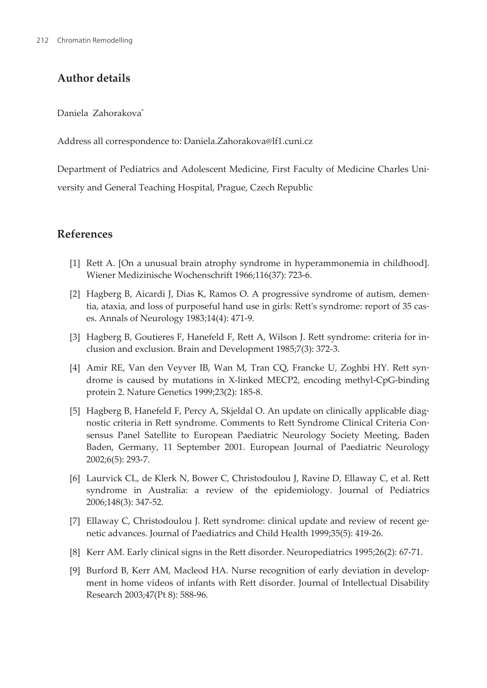# <span id="page-13-0"></span>**Author details**

Daniela Zahorakova\*

Address all correspondence to: Daniela.Zahorakova@lf1.cuni.cz

Department of Pediatrics and Adolescent Medicine, First Faculty of Medicine Charles Uni‐ versity and General Teaching Hospital, Prague, Czech Republic

## **References**

- [1] Rett A. [On a unusual brain atrophy syndrome in hyperammonemia in childhood]. Wiener Medizinische Wochenschrift 1966;116(37): 723-6.
- [2] Hagberg B, Aicardi J, Dias K, Ramos O. A progressive syndrome of autism, demen‐ tia, ataxia, and loss of purposeful hand use in girls: Rett's syndrome: report of 35 cases. Annals of Neurology 1983;14(4): 471-9.
- [3] Hagberg B, Goutieres F, Hanefeld F, Rett A, Wilson J. Rett syndrome: criteria for in‐ clusion and exclusion. Brain and Development 1985;7(3): 372-3.
- [4] Amir RE, Van den Veyver IB, Wan M, Tran CQ, Francke U, Zoghbi HY. Rett syn‐ drome is caused by mutations in X-linked MECP2, encoding methyl-CpG-binding protein 2. Nature Genetics 1999;23(2): 185-8.
- [5] Hagberg B, Hanefeld F, Percy A, Skjeldal O. An update on clinically applicable diag‐ nostic criteria in Rett syndrome. Comments to Rett Syndrome Clinical Criteria Con‐ sensus Panel Satellite to European Paediatric Neurology Society Meeting, Baden Baden, Germany, 11 September 2001. European Journal of Paediatric Neurology 2002;6(5): 293-7.
- [6] Laurvick CL, de Klerk N, Bower C, Christodoulou J, Ravine D, Ellaway C, et al. Rett syndrome in Australia: a review of the epidemiology. Journal of Pediatrics 2006;148(3): 347-52.
- [7] Ellaway C, Christodoulou J. Rett syndrome: clinical update and review of recent genetic advances. Journal of Paediatrics and Child Health 1999;35(5): 419-26.
- [8] Kerr AM. Early clinical signs in the Rett disorder. Neuropediatrics 1995;26(2): 67-71.
- [9] Burford B, Kerr AM, Macleod HA. Nurse recognition of early deviation in develop‐ ment in home videos of infants with Rett disorder. Journal of Intellectual Disability Research 2003;47(Pt 8): 588-96.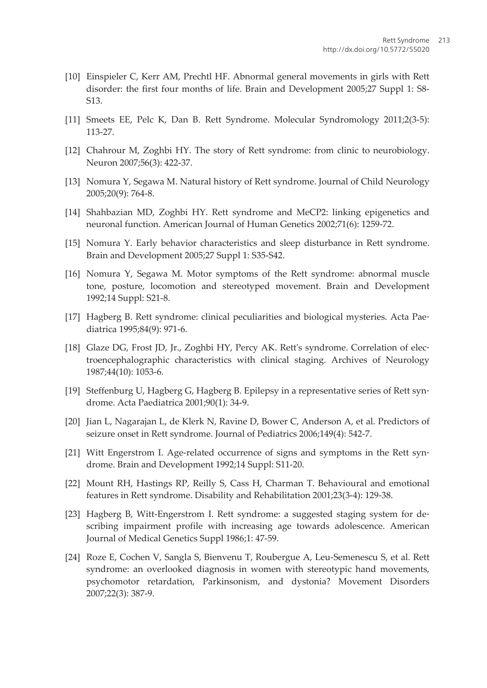- <span id="page-14-0"></span>[10] Einspieler C, Kerr AM, Prechtl HF. Abnormal general movements in girls with Rett disorder: the first four months of life. Brain and Development 2005;27 Suppl 1: S8- S13.
- [11] Smeets EE, Pelc K, Dan B. Rett Syndrome. Molecular Syndromology 2011;2(3-5): 113-27.
- [12] Chahrour M, Zoghbi HY. The story of Rett syndrome: from clinic to neurobiology. Neuron 2007;56(3): 422-37.
- [13] Nomura Y, Segawa M. Natural history of Rett syndrome. Journal of Child Neurology 2005;20(9): 764-8.
- [14] Shahbazian MD, Zoghbi HY. Rett syndrome and MeCP2: linking epigenetics and neuronal function. American Journal of Human Genetics 2002;71(6): 1259-72.
- [15] Nomura Y. Early behavior characteristics and sleep disturbance in Rett syndrome. Brain and Development 2005;27 Suppl 1: S35-S42.
- [16] Nomura Y, Segawa M. Motor symptoms of the Rett syndrome: abnormal muscle tone, posture, locomotion and stereotyped movement. Brain and Development 1992;14 Suppl: S21-8.
- [17] Hagberg B. Rett syndrome: clinical peculiarities and biological mysteries. Acta Pae‐ diatrica 1995;84(9): 971-6.
- [18] Glaze DG, Frost JD, Jr., Zoghbi HY, Percy AK. Rett's syndrome. Correlation of electroencephalographic characteristics with clinical staging. Archives of Neurology 1987;44(10): 1053-6.
- [19] Steffenburg U, Hagberg G, Hagberg B. Epilepsy in a representative series of Rett syn‐ drome. Acta Paediatrica 2001;90(1): 34-9.
- [20] Jian L, Nagarajan L, de Klerk N, Ravine D, Bower C, Anderson A, et al. Predictors of seizure onset in Rett syndrome. Journal of Pediatrics 2006;149(4): 542-7.
- [21] Witt Engerstrom I. Age-related occurrence of signs and symptoms in the Rett syndrome. Brain and Development 1992;14 Suppl: S11-20.
- [22] Mount RH, Hastings RP, Reilly S, Cass H, Charman T. Behavioural and emotional features in Rett syndrome. Disability and Rehabilitation 2001;23(3-4): 129-38.
- [23] Hagberg B, Witt-Engerstrom I. Rett syndrome: a suggested staging system for de‐ scribing impairment profile with increasing age towards adolescence. American Journal of Medical Genetics Suppl 1986;1: 47-59.
- [24] Roze E, Cochen V, Sangla S, Bienvenu T, Roubergue A, Leu-Semenescu S, et al. Rett syndrome: an overlooked diagnosis in women with stereotypic hand movements, psychomotor retardation, Parkinsonism, and dystonia? Movement Disorders 2007;22(3): 387-9.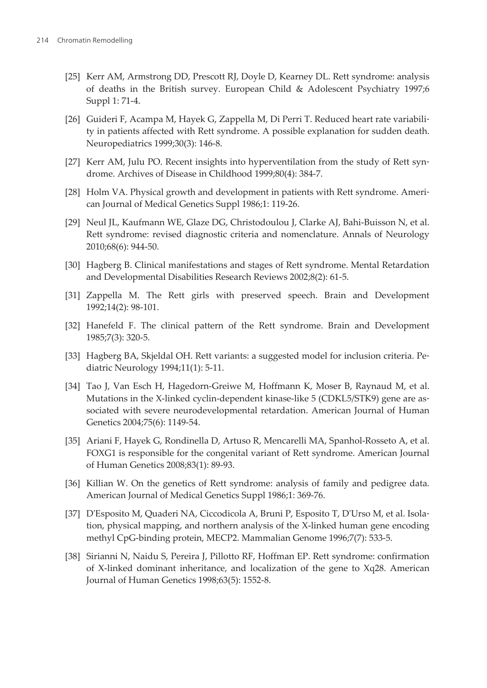- <span id="page-15-0"></span>[25] Kerr AM, Armstrong DD, Prescott RJ, Doyle D, Kearney DL. Rett syndrome: analysis of deaths in the British survey. European Child & Adolescent Psychiatry 1997;6 Suppl 1: 71-4.
- [26] Guideri F, Acampa M, Hayek G, Zappella M, Di Perri T. Reduced heart rate variabili‐ ty in patients affected with Rett syndrome. A possible explanation for sudden death. Neuropediatrics 1999;30(3): 146-8.
- [27] Kerr AM, Julu PO. Recent insights into hyperventilation from the study of Rett syndrome. Archives of Disease in Childhood 1999;80(4): 384-7.
- [28] Holm VA. Physical growth and development in patients with Rett syndrome. American Journal of Medical Genetics Suppl 1986;1: 119-26.
- [29] Neul JL, Kaufmann WE, Glaze DG, Christodoulou J, Clarke AJ, Bahi-Buisson N, et al. Rett syndrome: revised diagnostic criteria and nomenclature. Annals of Neurology 2010;68(6): 944-50.
- [30] Hagberg B. Clinical manifestations and stages of Rett syndrome. Mental Retardation and Developmental Disabilities Research Reviews 2002;8(2): 61-5.
- [31] Zappella M. The Rett girls with preserved speech. Brain and Development 1992;14(2): 98-101.
- [32] Hanefeld F. The clinical pattern of the Rett syndrome. Brain and Development 1985;7(3): 320-5.
- [33] Hagberg BA, Skjeldal OH. Rett variants: a suggested model for inclusion criteria. Pediatric Neurology 1994;11(1): 5-11.
- [34] Tao J, Van Esch H, Hagedorn-Greiwe M, Hoffmann K, Moser B, Raynaud M, et al. Mutations in the X-linked cyclin-dependent kinase-like 5 (CDKL5/STK9) gene are associated with severe neurodevelopmental retardation. American Journal of Human Genetics 2004;75(6): 1149-54.
- [35] Ariani F, Hayek G, Rondinella D, Artuso R, Mencarelli MA, Spanhol-Rosseto A, et al. FOXG1 is responsible for the congenital variant of Rett syndrome. American Journal of Human Genetics 2008;83(1): 89-93.
- [36] Killian W. On the genetics of Rett syndrome: analysis of family and pedigree data. American Journal of Medical Genetics Suppl 1986;1: 369-76.
- [37] D'Esposito M, Quaderi NA, Ciccodicola A, Bruni P, Esposito T, D'Urso M, et al. Isola‐ tion, physical mapping, and northern analysis of the X-linked human gene encoding methyl CpG-binding protein, MECP2. Mammalian Genome 1996;7(7): 533-5.
- [38] Sirianni N, Naidu S, Pereira J, Pillotto RF, Hoffman EP. Rett syndrome: confirmation of X-linked dominant inheritance, and localization of the gene to Xq28. American Journal of Human Genetics 1998;63(5): 1552-8.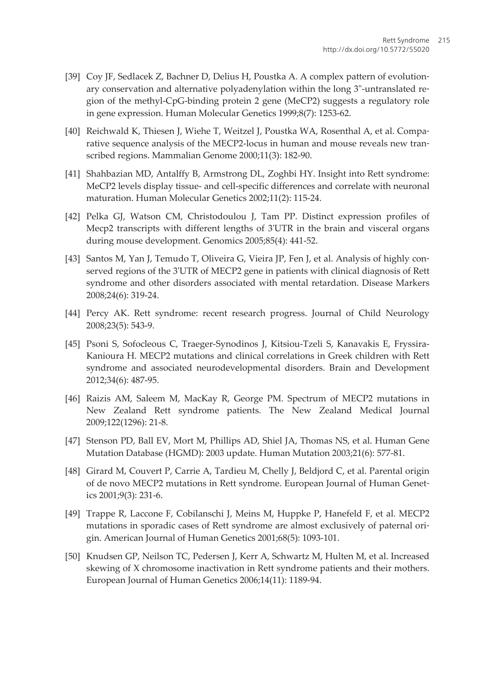- <span id="page-16-0"></span>[39] Coy JF, Sedlacek Z, Bachner D, Delius H, Poustka A. A complex pattern of evolutionary conservation and alternative polyadenylation within the long 3"-untranslated re‐ gion of the methyl-CpG-binding protein 2 gene (MeCP2) suggests a regulatory role in gene expression. Human Molecular Genetics 1999;8(7): 1253-62.
- [40] Reichwald K, Thiesen J, Wiehe T, Weitzel J, Poustka WA, Rosenthal A, et al. Comparative sequence analysis of the MECP2-locus in human and mouse reveals new transcribed regions. Mammalian Genome 2000;11(3): 182-90.
- [41] Shahbazian MD, Antalffy B, Armstrong DL, Zoghbi HY. Insight into Rett syndrome: MeCP2 levels display tissue- and cell-specific differences and correlate with neuronal maturation. Human Molecular Genetics 2002;11(2): 115-24.
- [42] Pelka GJ, Watson CM, Christodoulou J, Tam PP. Distinct expression profiles of Mecp2 transcripts with different lengths of 3'UTR in the brain and visceral organs during mouse development. Genomics 2005;85(4): 441-52.
- [43] Santos M, Yan J, Temudo T, Oliveira G, Vieira JP, Fen J, et al. Analysis of highly conserved regions of the 3'UTR of MECP2 gene in patients with clinical diagnosis of Rett syndrome and other disorders associated with mental retardation. Disease Markers 2008;24(6): 319-24.
- [44] Percy AK. Rett syndrome: recent research progress. Journal of Child Neurology 2008;23(5): 543-9.
- [45] Psoni S, Sofocleous C, Traeger-Synodinos J, Kitsiou-Tzeli S, Kanavakis E, Fryssira-Kanioura H. MECP2 mutations and clinical correlations in Greek children with Rett syndrome and associated neurodevelopmental disorders. Brain and Development 2012;34(6): 487-95.
- [46] Raizis AM, Saleem M, MacKay R, George PM. Spectrum of MECP2 mutations in New Zealand Rett syndrome patients. The New Zealand Medical Journal 2009;122(1296): 21-8.
- [47] Stenson PD, Ball EV, Mort M, Phillips AD, Shiel JA, Thomas NS, et al. Human Gene Mutation Database (HGMD): 2003 update. Human Mutation 2003;21(6): 577-81.
- [48] Girard M, Couvert P, Carrie A, Tardieu M, Chelly J, Beldjord C, et al. Parental origin of de novo MECP2 mutations in Rett syndrome. European Journal of Human Genet‐ ics 2001;9(3): 231-6.
- [49] Trappe R, Laccone F, Cobilanschi J, Meins M, Huppke P, Hanefeld F, et al. MECP2 mutations in sporadic cases of Rett syndrome are almost exclusively of paternal ori‐ gin. American Journal of Human Genetics 2001;68(5): 1093-101.
- [50] Knudsen GP, Neilson TC, Pedersen J, Kerr A, Schwartz M, Hulten M, et al. Increased skewing of X chromosome inactivation in Rett syndrome patients and their mothers. European Journal of Human Genetics 2006;14(11): 1189-94.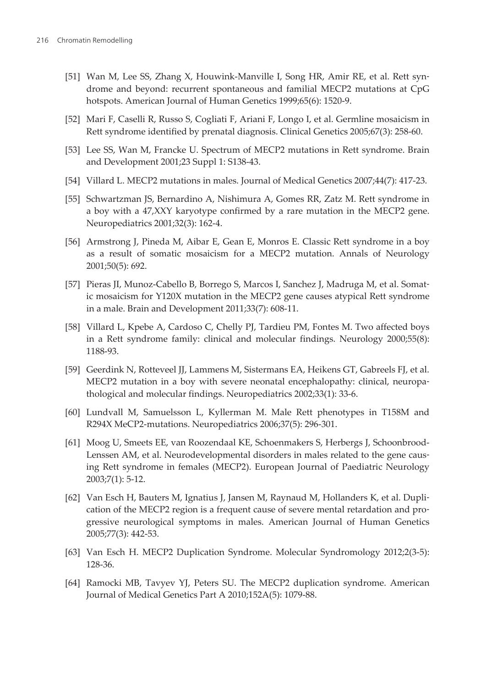- <span id="page-17-0"></span>[51] Wan M, Lee SS, Zhang X, Houwink-Manville I, Song HR, Amir RE, et al. Rett syndrome and beyond: recurrent spontaneous and familial MECP2 mutations at CpG hotspots. American Journal of Human Genetics 1999;65(6): 1520-9.
- [52] Mari F, Caselli R, Russo S, Cogliati F, Ariani F, Longo I, et al. Germline mosaicism in Rett syndrome identified by prenatal diagnosis. Clinical Genetics 2005;67(3): 258-60.
- [53] Lee SS, Wan M, Francke U. Spectrum of MECP2 mutations in Rett syndrome. Brain and Development 2001;23 Suppl 1: S138-43.
- [54] Villard L. MECP2 mutations in males. Journal of Medical Genetics 2007;44(7): 417-23.
- [55] Schwartzman JS, Bernardino A, Nishimura A, Gomes RR, Zatz M. Rett syndrome in a boy with a 47,XXY karyotype confirmed by a rare mutation in the MECP2 gene. Neuropediatrics 2001;32(3): 162-4.
- [56] Armstrong J, Pineda M, Aibar E, Gean E, Monros E. Classic Rett syndrome in a boy as a result of somatic mosaicism for a MECP2 mutation. Annals of Neurology 2001;50(5): 692.
- [57] Pieras JI, Munoz-Cabello B, Borrego S, Marcos I, Sanchez J, Madruga M, et al. Somat‐ ic mosaicism for Y120X mutation in the MECP2 gene causes atypical Rett syndrome in a male. Brain and Development 2011;33(7): 608-11.
- [58] Villard L, Kpebe A, Cardoso C, Chelly PJ, Tardieu PM, Fontes M. Two affected boys in a Rett syndrome family: clinical and molecular findings. Neurology 2000;55(8): 1188-93.
- [59] Geerdink N, Rotteveel JJ, Lammens M, Sistermans EA, Heikens GT, Gabreels FJ, et al. MECP2 mutation in a boy with severe neonatal encephalopathy: clinical, neuropathological and molecular findings. Neuropediatrics 2002;33(1): 33-6.
- [60] Lundvall M, Samuelsson L, Kyllerman M. Male Rett phenotypes in T158M and R294X MeCP2-mutations. Neuropediatrics 2006;37(5): 296-301.
- [61] Moog U, Smeets EE, van Roozendaal KE, Schoenmakers S, Herbergs J, Schoonbrood-Lenssen AM, et al. Neurodevelopmental disorders in males related to the gene causing Rett syndrome in females (MECP2). European Journal of Paediatric Neurology 2003;7(1): 5-12.
- [62] Van Esch H, Bauters M, Ignatius J, Jansen M, Raynaud M, Hollanders K, et al. Dupli‐ cation of the MECP2 region is a frequent cause of severe mental retardation and pro‐ gressive neurological symptoms in males. American Journal of Human Genetics 2005;77(3): 442-53.
- [63] Van Esch H. MECP2 Duplication Syndrome. Molecular Syndromology 2012;2(3-5): 128-36.
- [64] Ramocki MB, Tavyev YJ, Peters SU. The MECP2 duplication syndrome. American Journal of Medical Genetics Part A 2010;152A(5): 1079-88.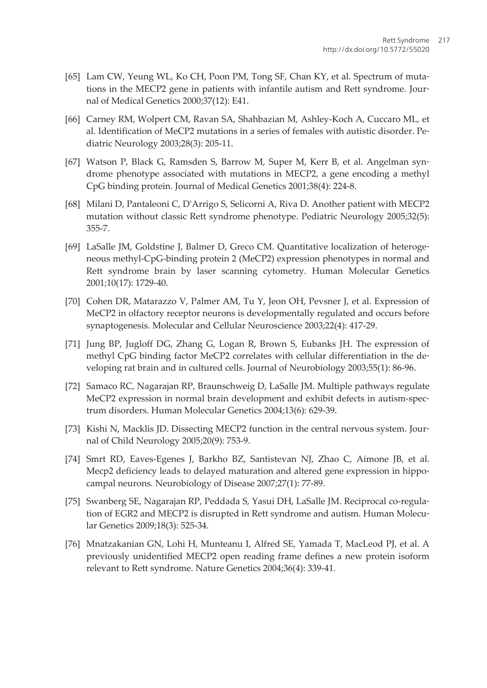- <span id="page-18-0"></span>[65] Lam CW, Yeung WL, Ko CH, Poon PM, Tong SF, Chan KY, et al. Spectrum of mutations in the MECP2 gene in patients with infantile autism and Rett syndrome. Journal of Medical Genetics 2000;37(12): E41.
- [66] Carney RM, Wolpert CM, Ravan SA, Shahbazian M, Ashley-Koch A, Cuccaro ML, et al. Identification of MeCP2 mutations in a series of females with autistic disorder. Pe‐ diatric Neurology 2003;28(3): 205-11.
- [67] Watson P, Black G, Ramsden S, Barrow M, Super M, Kerr B, et al. Angelman syn‐ drome phenotype associated with mutations in MECP2, a gene encoding a methyl CpG binding protein. Journal of Medical Genetics 2001;38(4): 224-8.
- [68] Milani D, Pantaleoni C, D'Arrigo S, Selicorni A, Riva D. Another patient with MECP2 mutation without classic Rett syndrome phenotype. Pediatric Neurology 2005;32(5): 355-7.
- [69] LaSalle JM, Goldstine J, Balmer D, Greco CM. Quantitative localization of heteroge‐ neous methyl-CpG-binding protein 2 (MeCP2) expression phenotypes in normal and Rett syndrome brain by laser scanning cytometry. Human Molecular Genetics 2001;10(17): 1729-40.
- [70] Cohen DR, Matarazzo V, Palmer AM, Tu Y, Jeon OH, Pevsner J, et al. Expression of MeCP2 in olfactory receptor neurons is developmentally regulated and occurs before synaptogenesis. Molecular and Cellular Neuroscience 2003;22(4): 417-29.
- [71] Jung BP, Jugloff DG, Zhang G, Logan R, Brown S, Eubanks JH. The expression of methyl CpG binding factor MeCP2 correlates with cellular differentiation in the de‐ veloping rat brain and in cultured cells. Journal of Neurobiology 2003;55(1): 86-96.
- [72] Samaco RC, Nagarajan RP, Braunschweig D, LaSalle JM. Multiple pathways regulate MeCP2 expression in normal brain development and exhibit defects in autism-spec‐ trum disorders. Human Molecular Genetics 2004;13(6): 629-39.
- [73] Kishi N, Macklis JD. Dissecting MECP2 function in the central nervous system. Journal of Child Neurology 2005;20(9): 753-9.
- [74] Smrt RD, Eaves-Egenes J, Barkho BZ, Santistevan NJ, Zhao C, Aimone JB, et al. Mecp2 deficiency leads to delayed maturation and altered gene expression in hippocampal neurons. Neurobiology of Disease 2007;27(1): 77-89.
- [75] Swanberg SE, Nagarajan RP, Peddada S, Yasui DH, LaSalle JM. Reciprocal co-regula‐ tion of EGR2 and MECP2 is disrupted in Rett syndrome and autism. Human Molecular Genetics 2009;18(3): 525-34.
- [76] Mnatzakanian GN, Lohi H, Munteanu I, Alfred SE, Yamada T, MacLeod PJ, et al. A previously unidentified MECP2 open reading frame defines a new protein isoform relevant to Rett syndrome. Nature Genetics 2004;36(4): 339-41.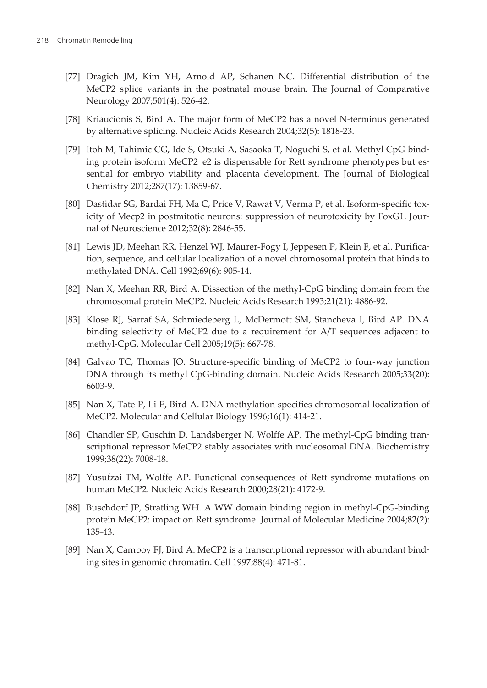- <span id="page-19-0"></span>[77] Dragich JM, Kim YH, Arnold AP, Schanen NC. Differential distribution of the MeCP2 splice variants in the postnatal mouse brain. The Journal of Comparative Neurology 2007;501(4): 526-42.
- [78] Kriaucionis S, Bird A. The major form of MeCP2 has a novel N-terminus generated by alternative splicing. Nucleic Acids Research 2004;32(5): 1818-23.
- [79] Itoh M, Tahimic CG, Ide S, Otsuki A, Sasaoka T, Noguchi S, et al. Methyl CpG-bind‐ ing protein isoform MeCP2 e2 is dispensable for Rett syndrome phenotypes but essential for embryo viability and placenta development. The Journal of Biological Chemistry 2012;287(17): 13859-67.
- [80] Dastidar SG, Bardai FH, Ma C, Price V, Rawat V, Verma P, et al. Isoform-specific tox‐ icity of Mecp2 in postmitotic neurons: suppression of neurotoxicity by FoxG1. Jour‐ nal of Neuroscience 2012;32(8): 2846-55.
- [81] Lewis JD, Meehan RR, Henzel WJ, Maurer-Fogy I, Jeppesen P, Klein F, et al. Purification, sequence, and cellular localization of a novel chromosomal protein that binds to methylated DNA. Cell 1992;69(6): 905-14.
- [82] Nan X, Meehan RR, Bird A. Dissection of the methyl-CpG binding domain from the chromosomal protein MeCP2. Nucleic Acids Research 1993;21(21): 4886-92.
- [83] Klose RJ, Sarraf SA, Schmiedeberg L, McDermott SM, Stancheva I, Bird AP. DNA binding selectivity of MeCP2 due to a requirement for A/T sequences adjacent to methyl-CpG. Molecular Cell 2005;19(5): 667-78.
- [84] Galvao TC, Thomas JO. Structure-specific binding of MeCP2 to four-way junction DNA through its methyl CpG-binding domain. Nucleic Acids Research 2005;33(20): 6603-9.
- [85] Nan X, Tate P, Li E, Bird A. DNA methylation specifies chromosomal localization of MeCP2. Molecular and Cellular Biology 1996;16(1): 414-21.
- [86] Chandler SP, Guschin D, Landsberger N, Wolffe AP. The methyl-CpG binding transcriptional repressor MeCP2 stably associates with nucleosomal DNA. Biochemistry 1999;38(22): 7008-18.
- [87] Yusufzai TM, Wolffe AP. Functional consequences of Rett syndrome mutations on human MeCP2. Nucleic Acids Research 2000;28(21): 4172-9.
- [88] Buschdorf JP, Stratling WH. A WW domain binding region in methyl-CpG-binding protein MeCP2: impact on Rett syndrome. Journal of Molecular Medicine 2004;82(2): 135-43.
- [89] Nan X, Campoy FJ, Bird A. MeCP2 is a transcriptional repressor with abundant bind‐ ing sites in genomic chromatin. Cell 1997;88(4): 471-81.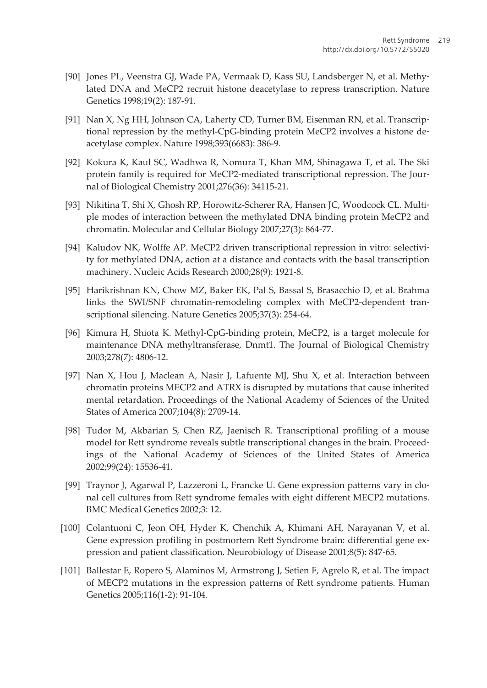- <span id="page-20-0"></span>[90] Jones PL, Veenstra GJ, Wade PA, Vermaak D, Kass SU, Landsberger N, et al. Methy‐ lated DNA and MeCP2 recruit histone deacetylase to repress transcription. Nature Genetics 1998;19(2): 187-91.
- [91] Nan X, Ng HH, Johnson CA, Laherty CD, Turner BM, Eisenman RN, et al. Transcriptional repression by the methyl-CpG-binding protein MeCP2 involves a histone de‐ acetylase complex. Nature 1998;393(6683): 386-9.
- [92] Kokura K, Kaul SC, Wadhwa R, Nomura T, Khan MM, Shinagawa T, et al. The Ski protein family is required for MeCP2-mediated transcriptional repression. The Journal of Biological Chemistry 2001;276(36): 34115-21.
- [93] Nikitina T, Shi X, Ghosh RP, Horowitz-Scherer RA, Hansen JC, Woodcock CL. Multi‐ ple modes of interaction between the methylated DNA binding protein MeCP2 and chromatin. Molecular and Cellular Biology 2007;27(3): 864-77.
- [94] Kaludov NK, Wolffe AP. MeCP2 driven transcriptional repression in vitro: selectivity for methylated DNA, action at a distance and contacts with the basal transcription machinery. Nucleic Acids Research 2000;28(9): 1921-8.
- [95] Harikrishnan KN, Chow MZ, Baker EK, Pal S, Bassal S, Brasacchio D, et al. Brahma links the SWI/SNF chromatin-remodeling complex with MeCP2-dependent tran‐ scriptional silencing. Nature Genetics 2005;37(3): 254-64.
- [96] Kimura H, Shiota K. Methyl-CpG-binding protein, MeCP2, is a target molecule for maintenance DNA methyltransferase, Dnmt1. The Journal of Biological Chemistry 2003;278(7): 4806-12.
- [97] Nan X, Hou J, Maclean A, Nasir J, Lafuente MJ, Shu X, et al. Interaction between chromatin proteins MECP2 and ATRX is disrupted by mutations that cause inherited mental retardation. Proceedings of the National Academy of Sciences of the United States of America 2007;104(8): 2709-14.
- [98] Tudor M, Akbarian S, Chen RZ, Jaenisch R. Transcriptional profiling of a mouse model for Rett syndrome reveals subtle transcriptional changes in the brain. Proceed‐ ings of the National Academy of Sciences of the United States of America 2002;99(24): 15536-41.
- [99] Traynor J, Agarwal P, Lazzeroni L, Francke U. Gene expression patterns vary in clo‐ nal cell cultures from Rett syndrome females with eight different MECP2 mutations. BMC Medical Genetics 2002;3: 12.
- [100] Colantuoni C, Jeon OH, Hyder K, Chenchik A, Khimani AH, Narayanan V, et al. Gene expression profiling in postmortem Rett Syndrome brain: differential gene expression and patient classification. Neurobiology of Disease 2001;8(5): 847-65.
- [101] Ballestar E, Ropero S, Alaminos M, Armstrong J, Setien F, Agrelo R, et al. The impact of MECP2 mutations in the expression patterns of Rett syndrome patients. Human Genetics 2005;116(1-2): 91-104.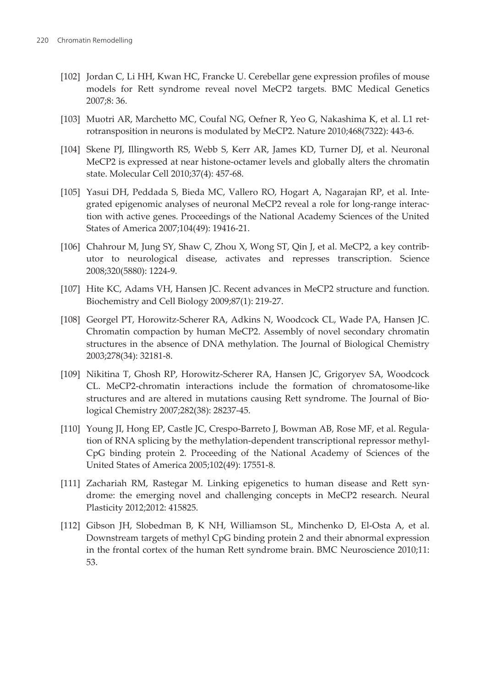- <span id="page-21-0"></span>[102] Jordan C, Li HH, Kwan HC, Francke U. Cerebellar gene expression profiles of mouse models for Rett syndrome reveal novel MeCP2 targets. BMC Medical Genetics 2007;8: 36.
- [103] Muotri AR, Marchetto MC, Coufal NG, Oefner R, Yeo G, Nakashima K, et al. L1 retrotransposition in neurons is modulated by MeCP2. Nature 2010;468(7322): 443-6.
- [104] Skene PJ, Illingworth RS, Webb S, Kerr AR, James KD, Turner DJ, et al. Neuronal MeCP2 is expressed at near histone-octamer levels and globally alters the chromatin state. Molecular Cell 2010;37(4): 457-68.
- [105] Yasui DH, Peddada S, Bieda MC, Vallero RO, Hogart A, Nagarajan RP, et al. Inte‐ grated epigenomic analyses of neuronal MeCP2 reveal a role for long-range interac‐ tion with active genes. Proceedings of the National Academy Sciences of the United States of America 2007;104(49): 19416-21.
- [106] Chahrour M, Jung SY, Shaw C, Zhou X, Wong ST, Qin J, et al. MeCP2, a key contributor to neurological disease, activates and represses transcription. Science 2008;320(5880): 1224-9.
- [107] Hite KC, Adams VH, Hansen JC. Recent advances in MeCP2 structure and function. Biochemistry and Cell Biology 2009;87(1): 219-27.
- [108] Georgel PT, Horowitz-Scherer RA, Adkins N, Woodcock CL, Wade PA, Hansen JC. Chromatin compaction by human MeCP2. Assembly of novel secondary chromatin structures in the absence of DNA methylation. The Journal of Biological Chemistry 2003;278(34): 32181-8.
- [109] Nikitina T, Ghosh RP, Horowitz-Scherer RA, Hansen JC, Grigoryev SA, Woodcock CL. MeCP2-chromatin interactions include the formation of chromatosome-like structures and are altered in mutations causing Rett syndrome. The Journal of Bio‐ logical Chemistry 2007;282(38): 28237-45.
- [110] Young JI, Hong EP, Castle JC, Crespo-Barreto J, Bowman AB, Rose MF, et al. Regula‐ tion of RNA splicing by the methylation-dependent transcriptional repressor methyl-CpG binding protein 2. Proceeding of the National Academy of Sciences of the United States of America 2005;102(49): 17551-8.
- [111] Zachariah RM, Rastegar M. Linking epigenetics to human disease and Rett syndrome: the emerging novel and challenging concepts in MeCP2 research. Neural Plasticity 2012;2012: 415825.
- [112] Gibson JH, Slobedman B, K NH, Williamson SL, Minchenko D, El-Osta A, et al. Downstream targets of methyl CpG binding protein 2 and their abnormal expression in the frontal cortex of the human Rett syndrome brain. BMC Neuroscience 2010;11: 53.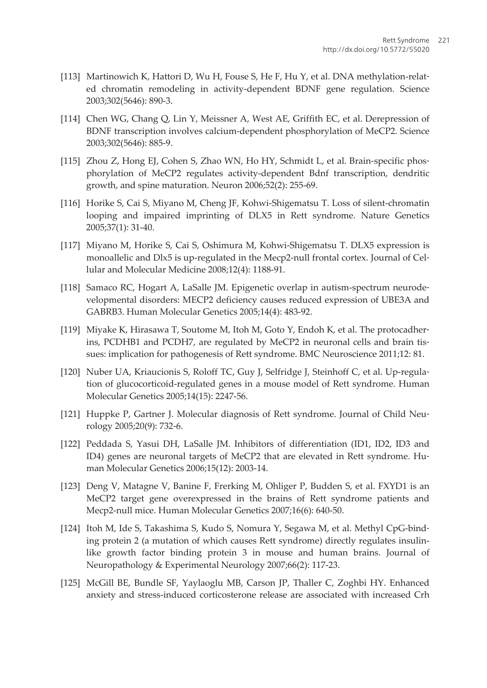- <span id="page-22-0"></span>[113] Martinowich K, Hattori D, Wu H, Fouse S, He F, Hu Y, et al. DNA methylation-related chromatin remodeling in activity-dependent BDNF gene regulation. Science 2003;302(5646): 890-3.
- [114] Chen WG, Chang Q, Lin Y, Meissner A, West AE, Griffith EC, et al. Derepression of BDNF transcription involves calcium-dependent phosphorylation of MeCP2. Science 2003;302(5646): 885-9.
- [115] Zhou Z, Hong EJ, Cohen S, Zhao WN, Ho HY, Schmidt L, et al. Brain-specific phosphorylation of MeCP2 regulates activity-dependent Bdnf transcription, dendritic growth, and spine maturation. Neuron 2006;52(2): 255-69.
- [116] Horike S, Cai S, Miyano M, Cheng JF, Kohwi-Shigematsu T. Loss of silent-chromatin looping and impaired imprinting of DLX5 in Rett syndrome. Nature Genetics 2005;37(1): 31-40.
- [117] Miyano M, Horike S, Cai S, Oshimura M, Kohwi-Shigematsu T. DLX5 expression is monoallelic and Dlx5 is up-regulated in the Mecp2-null frontal cortex. Journal of Cel‐ lular and Molecular Medicine 2008;12(4): 1188-91.
- [118] Samaco RC, Hogart A, LaSalle JM. Epigenetic overlap in autism-spectrum neurode‐ velopmental disorders: MECP2 deficiency causes reduced expression of UBE3A and GABRB3. Human Molecular Genetics 2005;14(4): 483-92.
- [119] Miyake K, Hirasawa T, Soutome M, Itoh M, Goto Y, Endoh K, et al. The protocadher‐ ins, PCDHB1 and PCDH7, are regulated by MeCP2 in neuronal cells and brain tis‐ sues: implication for pathogenesis of Rett syndrome. BMC Neuroscience 2011;12: 81.
- [120] Nuber UA, Kriaucionis S, Roloff TC, Guy J, Selfridge J, Steinhoff C, et al. Up-regula‐ tion of glucocorticoid-regulated genes in a mouse model of Rett syndrome. Human Molecular Genetics 2005;14(15): 2247-56.
- [121] Huppke P, Gartner J. Molecular diagnosis of Rett syndrome. Journal of Child Neu‐ rology 2005;20(9): 732-6.
- [122] Peddada S, Yasui DH, LaSalle JM. Inhibitors of differentiation (ID1, ID2, ID3 and ID4) genes are neuronal targets of MeCP2 that are elevated in Rett syndrome. Hu‐ man Molecular Genetics 2006;15(12): 2003-14.
- [123] Deng V, Matagne V, Banine F, Frerking M, Ohliger P, Budden S, et al. FXYD1 is an MeCP2 target gene overexpressed in the brains of Rett syndrome patients and Mecp2-null mice. Human Molecular Genetics 2007;16(6): 640-50.
- [124] Itoh M, Ide S, Takashima S, Kudo S, Nomura Y, Segawa M, et al. Methyl CpG-bind‐ ing protein 2 (a mutation of which causes Rett syndrome) directly regulates insulinlike growth factor binding protein 3 in mouse and human brains. Journal of Neuropathology & Experimental Neurology 2007;66(2): 117-23.
- [125] McGill BE, Bundle SF, Yaylaoglu MB, Carson JP, Thaller C, Zoghbi HY. Enhanced anxiety and stress-induced corticosterone release are associated with increased Crh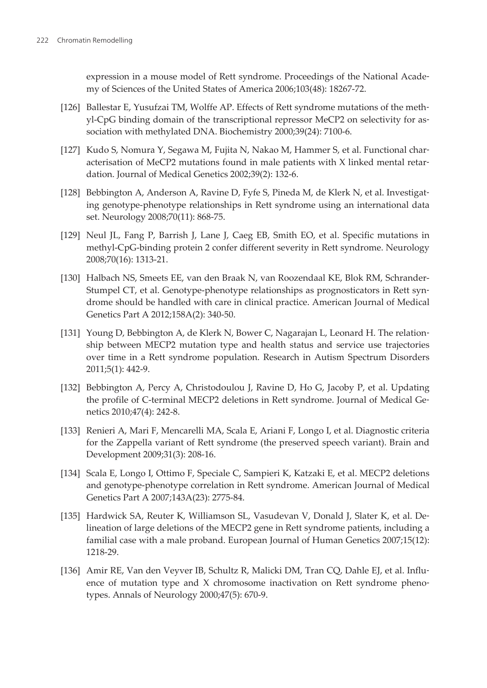<span id="page-23-0"></span>expression in a mouse model of Rett syndrome. Proceedings of the National Acade‐ my of Sciences of the United States of America 2006;103(48): 18267-72.

- [126] Ballestar E, Yusufzai TM, Wolffe AP. Effects of Rett syndrome mutations of the meth‐ yl-CpG binding domain of the transcriptional repressor MeCP2 on selectivity for as‐ sociation with methylated DNA. Biochemistry 2000;39(24): 7100-6.
- [127] Kudo S, Nomura Y, Segawa M, Fujita N, Nakao M, Hammer S, et al. Functional char‐ acterisation of MeCP2 mutations found in male patients with X linked mental retar‐ dation. Journal of Medical Genetics 2002;39(2): 132-6.
- [128] Bebbington A, Anderson A, Ravine D, Fyfe S, Pineda M, de Klerk N, et al. Investigating genotype-phenotype relationships in Rett syndrome using an international data set. Neurology 2008;70(11): 868-75.
- [129] Neul JL, Fang P, Barrish J, Lane J, Caeg EB, Smith EO, et al. Specific mutations in methyl-CpG-binding protein 2 confer different severity in Rett syndrome. Neurology 2008;70(16): 1313-21.
- [130] Halbach NS, Smeets EE, van den Braak N, van Roozendaal KE, Blok RM, Schrander-Stumpel CT, et al. Genotype-phenotype relationships as prognosticators in Rett syndrome should be handled with care in clinical practice. American Journal of Medical Genetics Part A 2012;158A(2): 340-50.
- [131] Young D, Bebbington A, de Klerk N, Bower C, Nagarajan L, Leonard H. The relationship between MECP2 mutation type and health status and service use trajectories over time in a Rett syndrome population. Research in Autism Spectrum Disorders 2011;5(1): 442-9.
- [132] Bebbington A, Percy A, Christodoulou J, Ravine D, Ho G, Jacoby P, et al. Updating the profile of C-terminal MECP2 deletions in Rett syndrome. Journal of Medical Ge‐ netics 2010;47(4): 242-8.
- [133] Renieri A, Mari F, Mencarelli MA, Scala E, Ariani F, Longo I, et al. Diagnostic criteria for the Zappella variant of Rett syndrome (the preserved speech variant). Brain and Development 2009;31(3): 208-16.
- [134] Scala E, Longo I, Ottimo F, Speciale C, Sampieri K, Katzaki E, et al. MECP2 deletions and genotype-phenotype correlation in Rett syndrome. American Journal of Medical Genetics Part A 2007;143A(23): 2775-84.
- [135] Hardwick SA, Reuter K, Williamson SL, Vasudevan V, Donald J, Slater K, et al. Delineation of large deletions of the MECP2 gene in Rett syndrome patients, including a familial case with a male proband. European Journal of Human Genetics 2007;15(12): 1218-29.
- [136] Amir RE, Van den Veyver IB, Schultz R, Malicki DM, Tran CQ, Dahle EJ, et al. Influ‐ ence of mutation type and X chromosome inactivation on Rett syndrome phenotypes. Annals of Neurology 2000;47(5): 670-9.